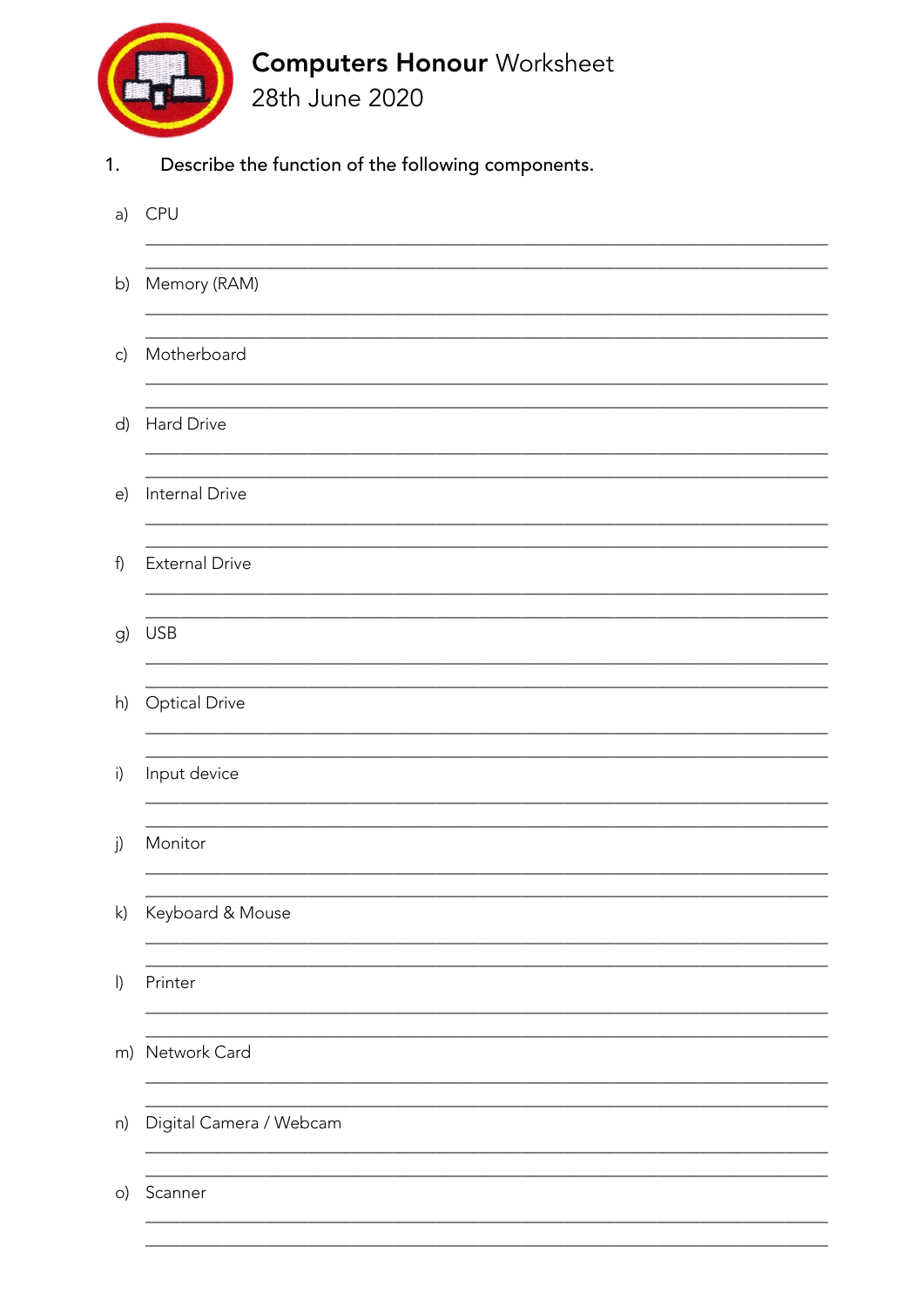

Describe the function of the following components.  $1.$ 

| a)           | <b>CPU</b>              |
|--------------|-------------------------|
| b)           | Memory (RAM)            |
| $\mathsf{c}$ | Motherboard             |
| d)           | Hard Drive              |
| e)           | Internal Drive          |
| f)           | <b>External Drive</b>   |
| g)           | <b>USB</b>              |
| h)           | <b>Optical Drive</b>    |
| i)           | Input device            |
| j)           | Monitor                 |
| $\mathsf{k}$ | Keyboard & Mouse        |
| $\vert$      | Printer                 |
|              | m) Network Card         |
| n)           | Digital Camera / Webcam |
| $\circ)$     | Scanner                 |
|              |                         |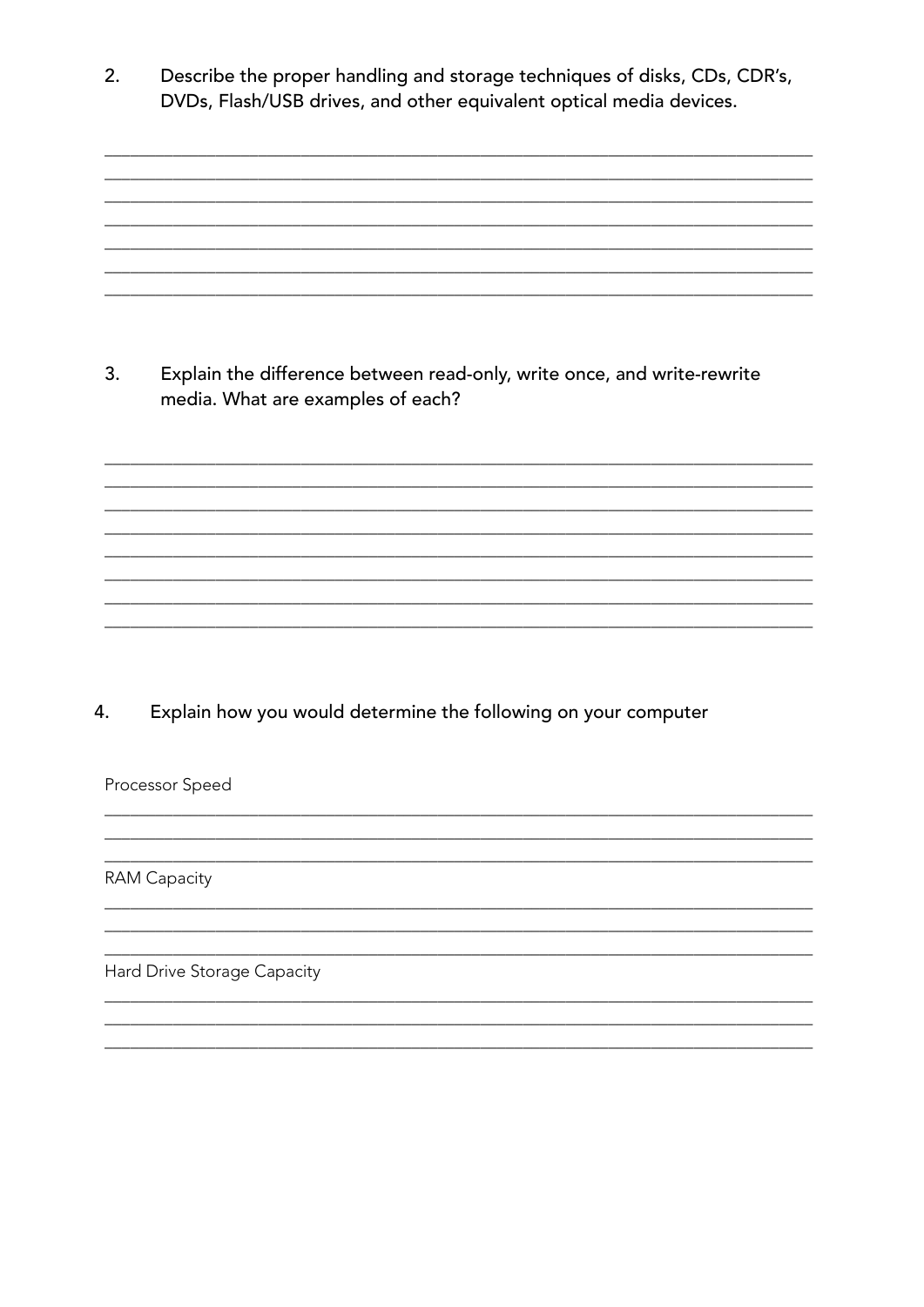Describe the proper handling and storage techniques of disks, CDs, CDR's,  $2.$ DVDs, Flash/USB drives, and other equivalent optical media devices.

Explain the difference between read-only, write once, and write-rewrite  $3<sub>1</sub>$ media. What are examples of each?

Explain how you would determine the following on your computer 4.

Processor Speed

**RAM Capacity** 

Hard Drive Storage Capacity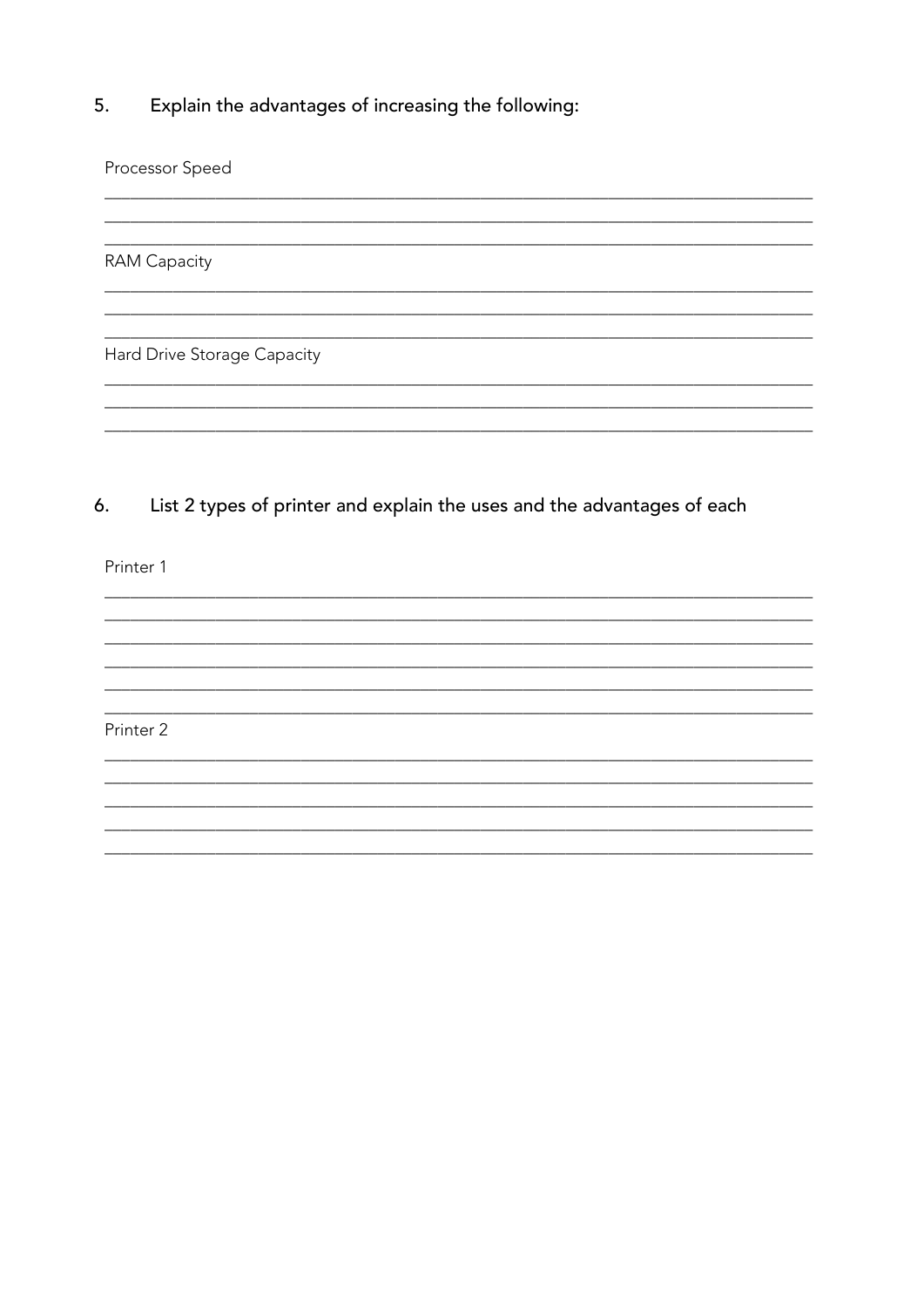Explain the advantages of increasing the following: 5.

Processor Speed

**RAM Capacity** 

Hard Drive Storage Capacity

List 2 types of printer and explain the uses and the advantages of each 6.

<u> 1980 - Johann Stein, marwolaethau (b. 1980)</u>

<u> 2000 - 2000 - 2000 - 2000 - 2000 - 2000 - 2000 - 2000 - 2000 - 2000 - 2000 - 2000 - 2000 - 2000 - 2000 - 200</u>

Printer 1

Printer 2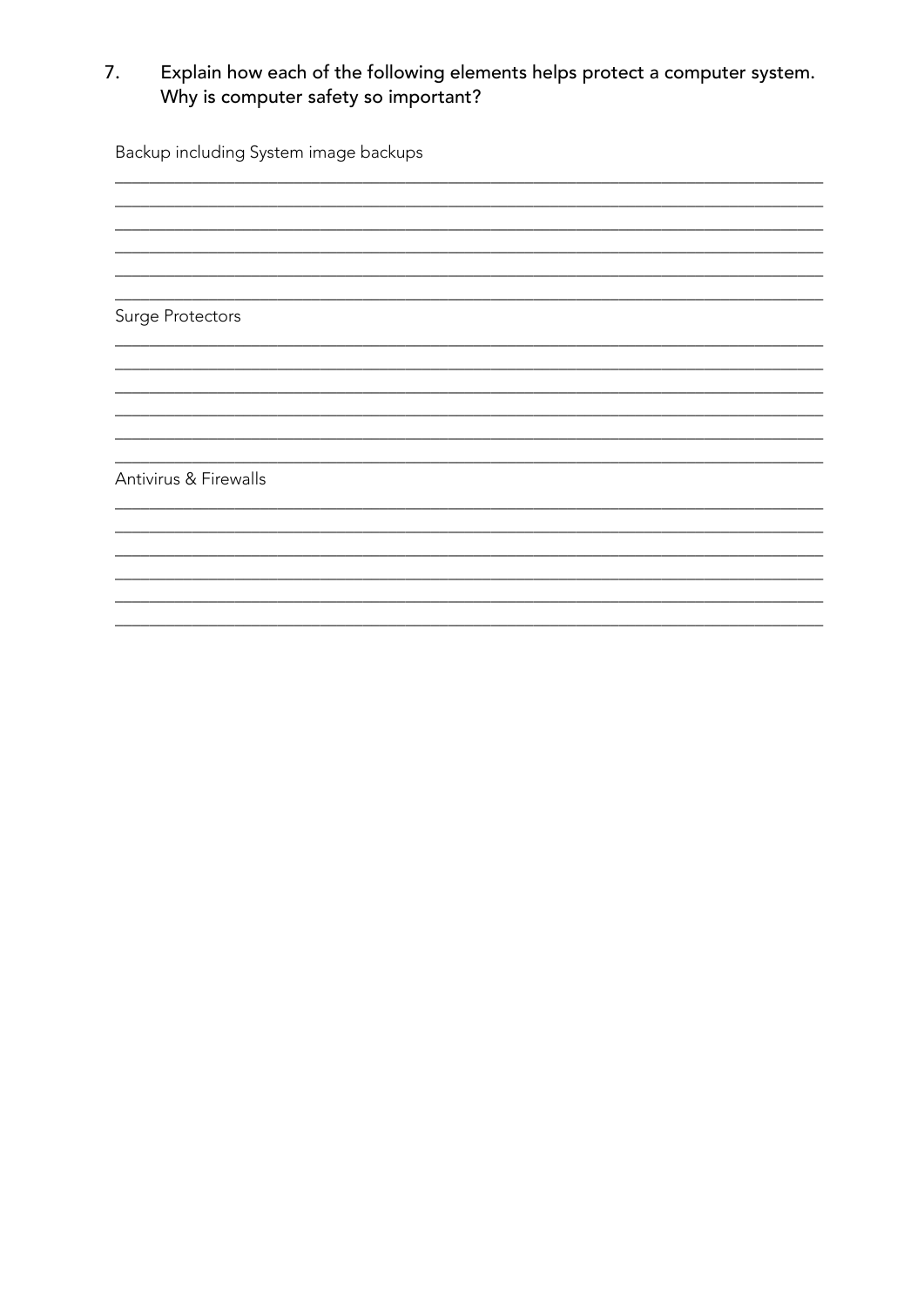## Explain how each of the following elements helps protect a computer system. 7. Why is computer safety so important?

Backup including System image backups Surge Protectors Antivirus & Firewalls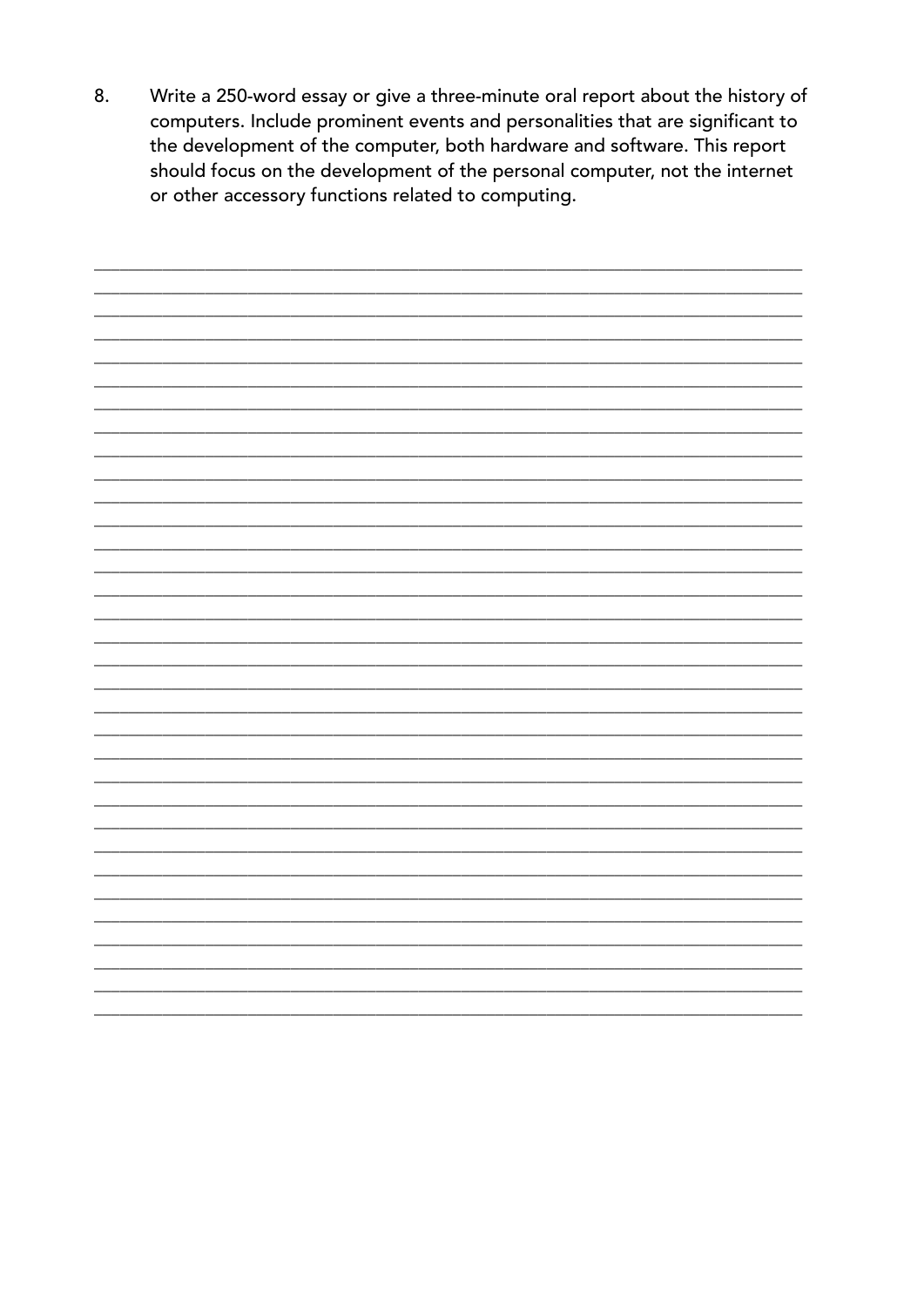8. Write a 250-word essay or give a three-minute oral report about the history of computers. Include prominent events and personalities that are significant to the development of the computer, both hardware and software. This report should focus on the development of the personal computer, not the internet or other accessory functions related to computing.

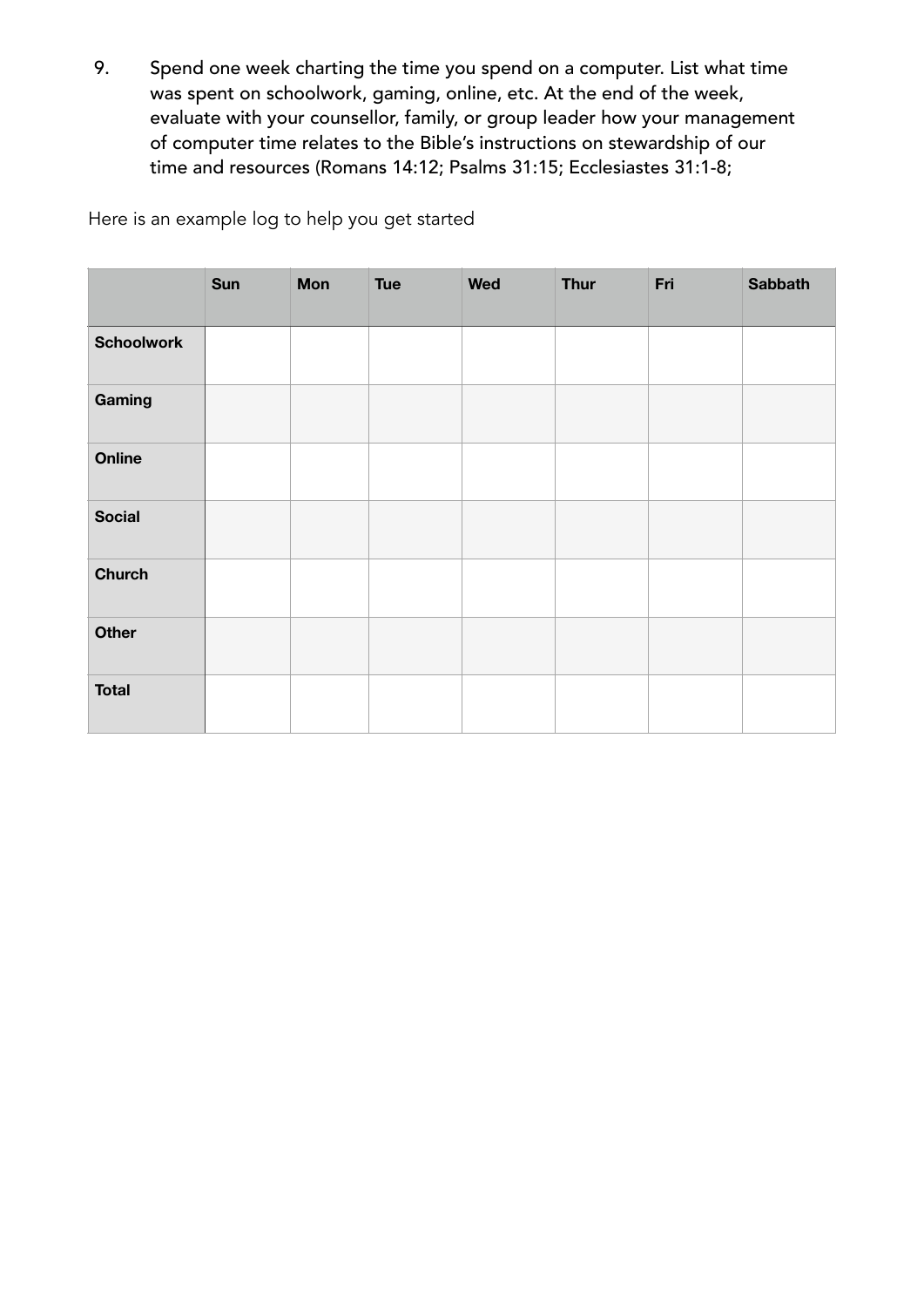9. Spend one week charting the time you spend on a computer. List what time was spent on schoolwork, gaming, online, etc. At the end of the week, evaluate with your counsellor, family, or group leader how your management of computer time relates to the Bible's instructions on stewardship of our time and resources (Romans 14:12; Psalms 31:15; Ecclesiastes 31:1-8;

Here is an example log to help you get started

|                   | Sun | <b>Mon</b> | <b>Tue</b> | <b>Wed</b> | <b>Thur</b> | Fri | <b>Sabbath</b> |
|-------------------|-----|------------|------------|------------|-------------|-----|----------------|
| <b>Schoolwork</b> |     |            |            |            |             |     |                |
| Gaming            |     |            |            |            |             |     |                |
| Online            |     |            |            |            |             |     |                |
| <b>Social</b>     |     |            |            |            |             |     |                |
| <b>Church</b>     |     |            |            |            |             |     |                |
| <b>Other</b>      |     |            |            |            |             |     |                |
| <b>Total</b>      |     |            |            |            |             |     |                |